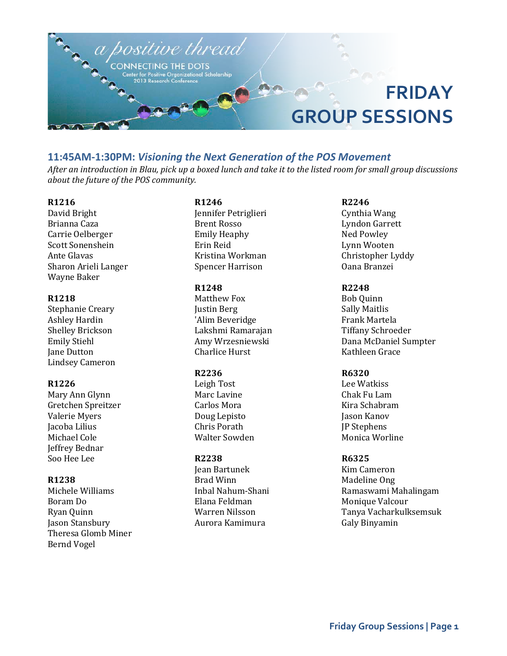

# **11:45AM-1:30PM:** *Visioning the Next Generation of the POS Movement*

*After an introduction in Blau, pick up a boxed lunch and take it to the listed room for small group discussions about the future of the POS community.*

# **R1216**

David Bright Brianna Caza Carrie Oelberger Scott Sonenshein Ante Glavas Sharon Arieli Langer Wayne Baker

#### **R1218**

Stephanie Creary Ashley Hardin Shelley Brickson Emily Stiehl Jane Dutton Lindsey Cameron

#### **R1226**

Mary Ann Glynn Gretchen Spreitzer Valerie Myers Jacoba Lilius Michael Cole Jeffrey Bednar Soo Hee Lee

#### **R1238**

Michele Williams Boram Do Ryan Quinn Jason Stansbury Theresa Glomb Miner Bernd Vogel

# **R1246**

Jennifer Petriglieri Brent Rosso Emily Heaphy Erin Reid Kristina Workman Spencer Harrison

# **R1248**

Matthew Fox Justin Berg 'Alim Beveridge Lakshmi Ramarajan Amy Wrzesniewski Charlice Hurst

### **R2236**

Leigh Tost Marc Lavine Carlos Mora Doug Lepisto Chris Porath Walter Sowden

### **R2238**

Jean Bartunek Brad Winn Inbal Nahum-Shani Elana Feldman Warren Nilsson Aurora Kamimura

**R2246** Cynthia Wang Lyndon Garrett Ned Powley Lynn Wooten Christopher Lyddy Oana Branzei

# **R2248**

Bob Quinn Sally Maitlis Frank Martela Tiffany Schroeder Dana McDaniel Sumpter Kathleen Grace

### **R6320**

Lee Watkiss Chak Fu Lam Kira Schabram Jason Kanov JP Stephens Monica Worline

### **R6325**

Kim Cameron Madeline Ong Ramaswami Mahalingam Monique Valcour Tanya Vacharkulksemsuk Galy Binyamin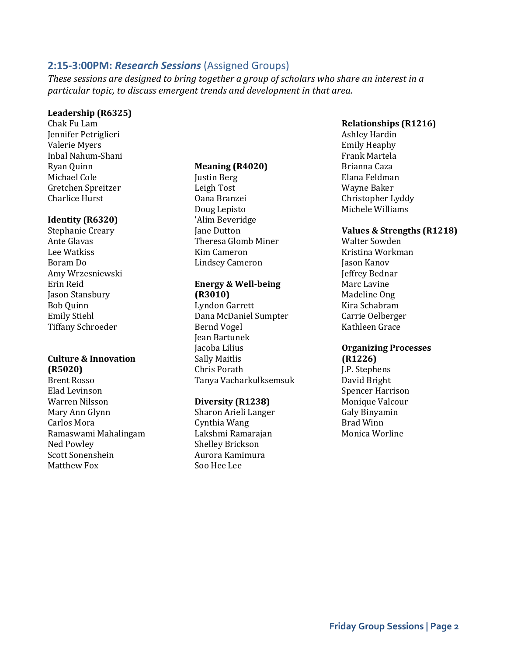# **2:15-3:00PM:** *Research Sessions* (Assigned Groups)

*These sessions are designed to bring together a group of scholars who share an interest in a particular topic, to discuss emergent trends and development in that area.*

### **Leadership (R6325)**

Chak Fu Lam Jennifer Petriglieri Valerie Myers Inbal Nahum-Shani Ryan Quinn Michael Cole Gretchen Spreitzer Charlice Hurst

# **Identity (R6320)**

Stephanie Creary Ante Glavas Lee Watkiss Boram Do Amy Wrzesniewski Erin Reid Jason Stansbury Bob Quinn Emily Stiehl Tiffany Schroeder

# **Culture & Innovation (R5020)**

Brent Rosso Elad Levinson Warren Nilsson Mary Ann Glynn Carlos Mora Ramaswami Mahalingam Ned Powley Scott Sonenshein Matthew Fox

### **Meaning (R4020)**

Justin Berg Leigh Tost Oana Branzei Doug Lepisto 'Alim Beveridge Jane Dutton Theresa Glomb Miner Kim Cameron Lindsey Cameron

# **Energy & Well-being (R3010)**

Lyndon Garrett Dana McDaniel Sumpter Bernd Vogel Jean Bartunek Jacoba Lilius Sally Maitlis Chris Porath Tanya Vacharkulksemsuk

### **Diversity (R1238)**

Sharon Arieli Langer Cynthia Wang Lakshmi Ramarajan Shelley Brickson Aurora Kamimura Soo Hee Lee

# **Relationships (R1216)**

Ashley Hardin Emily Heaphy Frank Martela Brianna Caza Elana Feldman Wayne Baker Christopher Lyddy Michele Williams

# **Values & Strengths (R1218)**

Walter Sowden Kristina Workman Jason Kanov Jeffrey Bednar Marc Lavine Madeline Ong Kira Schabram Carrie Oelberger Kathleen Grace

# **Organizing Processes (R1226)**

J.P. Stephens David Bright Spencer Harrison Monique Valcour Galy Binyamin Brad Winn Monica Worline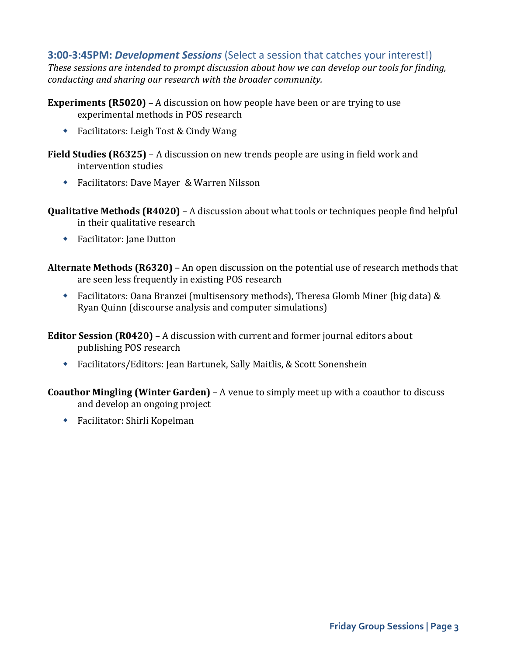# **3:00-3:45PM:** *Development Sessions* (Select a session that catches your interest!)

*These sessions are intended to prompt discussion about how we can develop our tools for finding, conducting and sharing our research with the broader community.*

**Experiments (R5020) –** A discussion on how people have been or are trying to use experimental methods in POS research

◆ Facilitators: Leigh Tost & Cindy Wang

**Field Studies (R6325)** – A discussion on new trends people are using in field work and intervention studies

- Facilitators: Dave Mayer & Warren Nilsson
- **Qualitative Methods (R4020)** A discussion about what tools or techniques people find helpful in their qualitative research
	- ◆ Facilitator: Jane Dutton

**Alternate Methods (R6320)** – An open discussion on the potential use of research methods that are seen less frequently in existing POS research

 Facilitators: Oana Branzei (multisensory methods), Theresa Glomb Miner (big data) & Ryan Quinn (discourse analysis and computer simulations)

**Editor Session (R0420)** – A discussion with current and former journal editors about publishing POS research

Facilitators/Editors: Jean Bartunek, Sally Maitlis, & Scott Sonenshein

**Coauthor Mingling (Winter Garden)** – A venue to simply meet up with a coauthor to discuss and develop an ongoing project

Facilitator: Shirli Kopelman